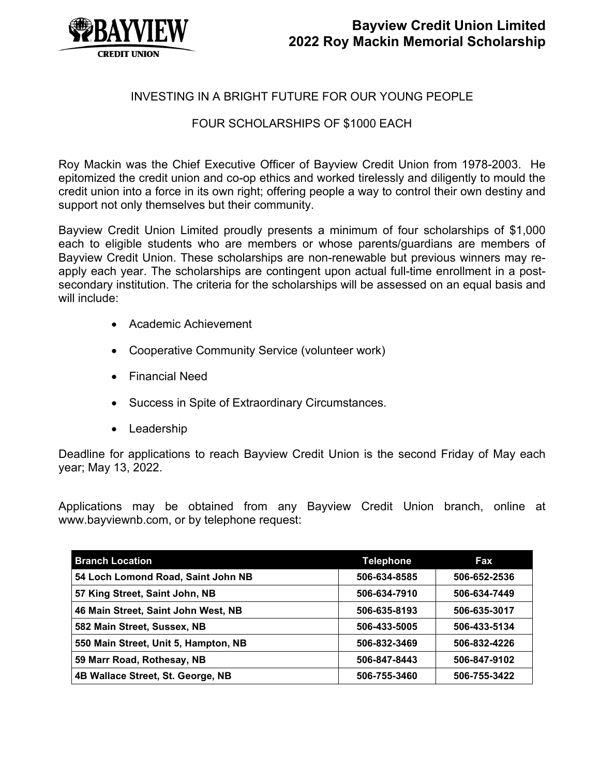

## INVESTING IN A BRIGHT FUTURE FOR OUR YOUNG PEOPLE

### FOUR SCHOLARSHIPS OF \$1000 EACH

Roy Mackin was the Chief Executive Officer of Bayview Credit Union from 1978-2003. He epitomized the credit union and co-op ethics and worked tirelessly and diligently to mould the credit union into a force in its own right; offering people a way to control their own destiny and support not only themselves but their community.

Bayview Credit Union Limited proudly presents a minimum of four scholarships of \$1,000 each to eligible students who are members or whose parents/guardians are members of Bayview Credit Union. These scholarships are non-renewable but previous winners may reapply each year. The scholarships are contingent upon actual full-time enrollment in a postsecondary institution. The criteria for the scholarships will be assessed on an equal basis and will include:

- Academic Achievement
- Cooperative Community Service (volunteer work)
- Financial Need
- Success in Spite of Extraordinary Circumstances.
- Leadership

Deadline for applications to reach Bayview Credit Union is the second Friday of May each year; May 13, 2022.

Applications may be obtained from any Bayview Credit Union branch, online at www.bayviewnb.com, or by telephone request:

| <b>Branch Location</b>               | <b>Telephone</b> | Fax          |
|--------------------------------------|------------------|--------------|
| 54 Loch Lomond Road, Saint John NB   | 506-634-8585     | 506-652-2536 |
| 57 King Street, Saint John, NB       | 506-634-7910     | 506-634-7449 |
| 46 Main Street, Saint John West, NB  | 506-635-8193     | 506-635-3017 |
| 582 Main Street, Sussex, NB          | 506-433-5005     | 506-433-5134 |
| 550 Main Street, Unit 5, Hampton, NB | 506-832-3469     | 506-832-4226 |
| 59 Marr Road, Rothesay, NB           | 506-847-8443     | 506-847-9102 |
| 4B Wallace Street, St. George, NB    | 506-755-3460     | 506-755-3422 |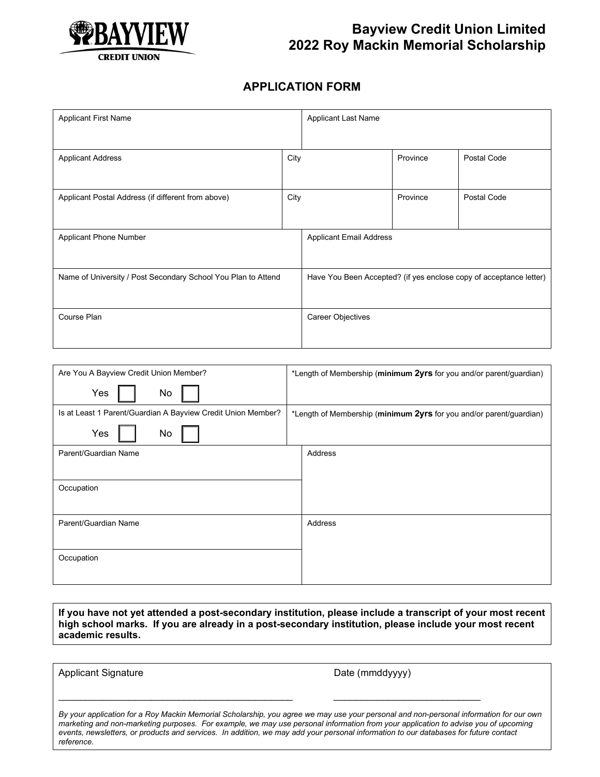

#### **APPLICATION FORM**

| <b>Applicant First Name</b>                                   |      | <b>Applicant Last Name</b>     |          |                                                                    |
|---------------------------------------------------------------|------|--------------------------------|----------|--------------------------------------------------------------------|
| <b>Applicant Address</b>                                      | City |                                | Province | Postal Code                                                        |
| Applicant Postal Address (if different from above)            | City |                                | Province | Postal Code                                                        |
| Applicant Phone Number                                        |      | <b>Applicant Email Address</b> |          |                                                                    |
| Name of University / Post Secondary School You Plan to Attend |      |                                |          | Have You Been Accepted? (if yes enclose copy of acceptance letter) |
| Course Plan                                                   |      | Career Objectives              |          |                                                                    |

| Are You A Bayview Credit Union Member?                       | *Length of Membership (minimum 2yrs for you and/or parent/guardian) |
|--------------------------------------------------------------|---------------------------------------------------------------------|
| Yes<br>No                                                    |                                                                     |
| Is at Least 1 Parent/Guardian A Bayview Credit Union Member? | *Length of Membership (minimum 2yrs for you and/or parent/guardian) |
| Yes<br>No                                                    |                                                                     |
| Parent/Guardian Name                                         | Address                                                             |
|                                                              |                                                                     |
| Occupation                                                   |                                                                     |
|                                                              |                                                                     |
| Parent/Guardian Name                                         | Address                                                             |
|                                                              |                                                                     |
| Occupation                                                   |                                                                     |
|                                                              |                                                                     |

**If you have not yet attended a post-secondary institution, please include a transcript of your most recent high school marks. If you are already in a post-secondary institution, please include your most recent academic results.**

Applicant Signature **Date (mmddyyyy)** 

*By your application for a Roy Mackin Memorial Scholarship, you agree we may use your personal and non-personal information for our own marketing and non-marketing purposes. For example, we may use personal information from your application to advise you of upcoming events, newsletters, or products and services. In addition, we may add your personal information to our databases for future contact reference.*

\_\_\_\_\_\_\_\_\_\_\_\_\_\_\_\_\_\_\_\_\_\_\_\_\_\_\_\_\_\_\_\_\_\_\_\_\_\_\_\_\_\_\_ \_\_\_\_\_\_\_\_\_\_\_\_\_\_\_\_\_\_\_\_\_\_\_\_\_\_\_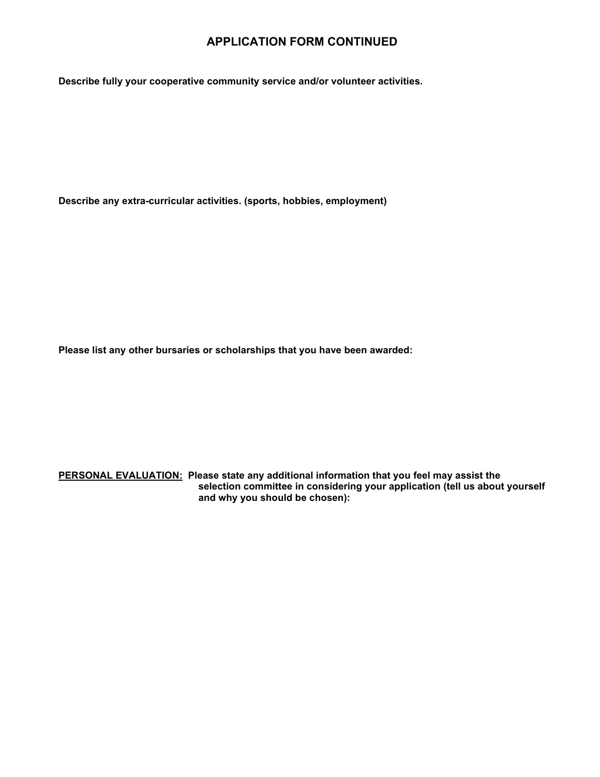#### **APPLICATION FORM CONTINUED**

**Describe fully your cooperative community service and/or volunteer activities.**

**Describe any extra-curricular activities. (sports, hobbies, employment)**

**Please list any other bursaries or scholarships that you have been awarded:**

**PERSONAL EVALUATION: Please state any additional information that you feel may assist the selection committee in considering your application (tell us about yourself and why you should be chosen):**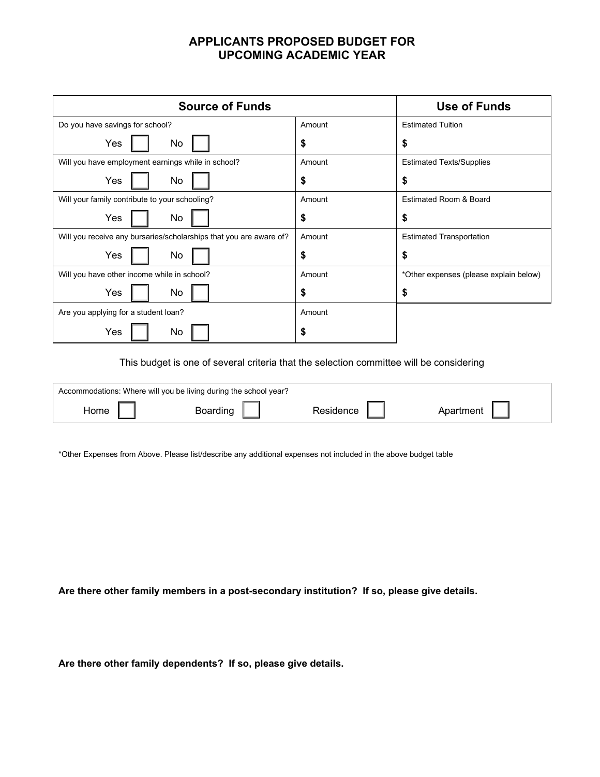## **APPLICANTS PROPOSED BUDGET FOR UPCOMING ACADEMIC YEAR**

| <b>Source of Funds</b>                                             |        | <b>Use of Funds</b>                    |
|--------------------------------------------------------------------|--------|----------------------------------------|
| Do you have savings for school?                                    | Amount | <b>Estimated Tuition</b>               |
| Yes<br>No                                                          | S      | S                                      |
| Will you have employment earnings while in school?                 | Amount | <b>Estimated Texts/Supplies</b>        |
| Yes<br>No                                                          | \$     | \$                                     |
| Will your family contribute to your schooling?                     | Amount | <b>Estimated Room &amp; Board</b>      |
| No<br>Yes                                                          | \$     | S                                      |
| Will you receive any bursaries/scholarships that you are aware of? | Amount | <b>Estimated Transportation</b>        |
| Yes<br>No                                                          | S      | S                                      |
| Will you have other income while in school?                        | Amount | *Other expenses (please explain below) |
| No<br>Yes                                                          | S      | \$                                     |
| Are you applying for a student loan?                               | Amount |                                        |
| No<br>Yes                                                          | S      |                                        |

This budget is one of several criteria that the selection committee will be considering

|      | Accommodations: Where will you be living during the school year? |           |           |
|------|------------------------------------------------------------------|-----------|-----------|
| ⊣ome | Boarding                                                         | Residence | Anartment |

\*Other Expenses from Above. Please list/describe any additional expenses not included in the above budget table

**Are there other family members in a post-secondary institution? If so, please give details.**

**Are there other family dependents? If so, please give details.**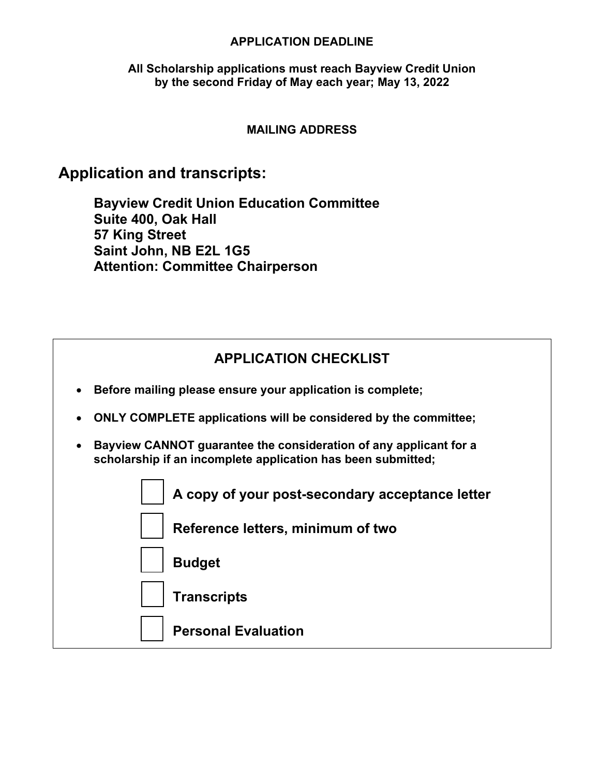#### **APPLICATION DEADLINE**

### **All Scholarship applications must reach Bayview Credit Union by the second Friday of May each year; May 13, 2022**

### **MAILING ADDRESS**

# **Application and transcripts:**

**Bayview Credit Union Education Committee Suite 400, Oak Hall 57 King Street Saint John, NB E2L 1G5 Attention: Committee Chairperson**

|  | <b>APPLICATION CHECKLIST</b> |  |
|--|------------------------------|--|
|  |                              |  |

- **Before mailing please ensure your application is complete;**
- **ONLY COMPLETE applications will be considered by the committee;**
- **Bayview CANNOT guarantee the consideration of any applicant for a scholarship if an incomplete application has been submitted;**

| A copy of your post-secondary acceptance letter |
|-------------------------------------------------|
| Reference letters, minimum of two               |
| Budget                                          |
| $\vert$ Transcripts                             |
| <b>Personal Evaluation</b>                      |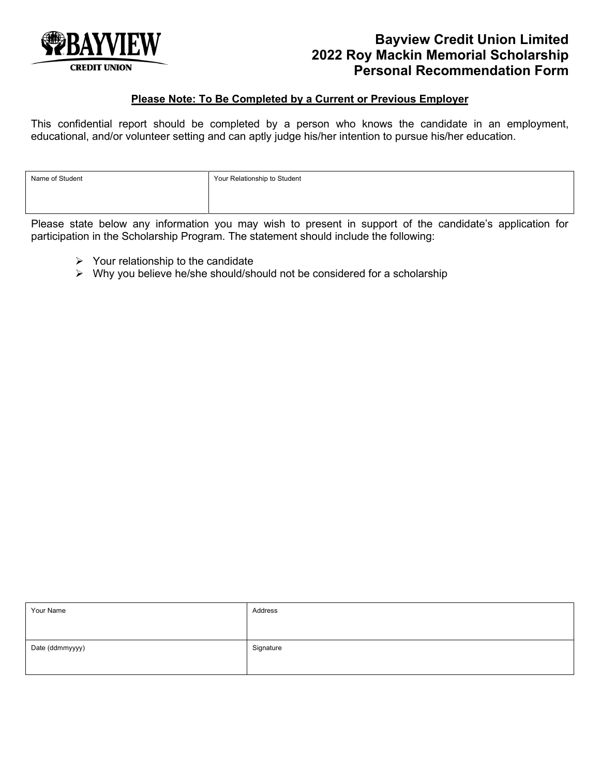

## **Bayview Credit Union Limited 2022 Roy Mackin Memorial Scholarship Personal Recommendation Form**

#### **Please Note: To Be Completed by a Current or Previous Employer**

This confidential report should be completed by a person who knows the candidate in an employment, educational, and/or volunteer setting and can aptly judge his/her intention to pursue his/her education.

| Name of Student | Your Relationship to Student |
|-----------------|------------------------------|
|                 |                              |
|                 |                              |

Please state below any information you may wish to present in support of the candidate's application for participation in the Scholarship Program. The statement should include the following:

- $\triangleright$  Your relationship to the candidate
- $\triangleright$  Why you believe he/she should/should not be considered for a scholarship

| Your Name       | Address   |
|-----------------|-----------|
| Date (ddmmyyyy) | Signature |
|                 |           |